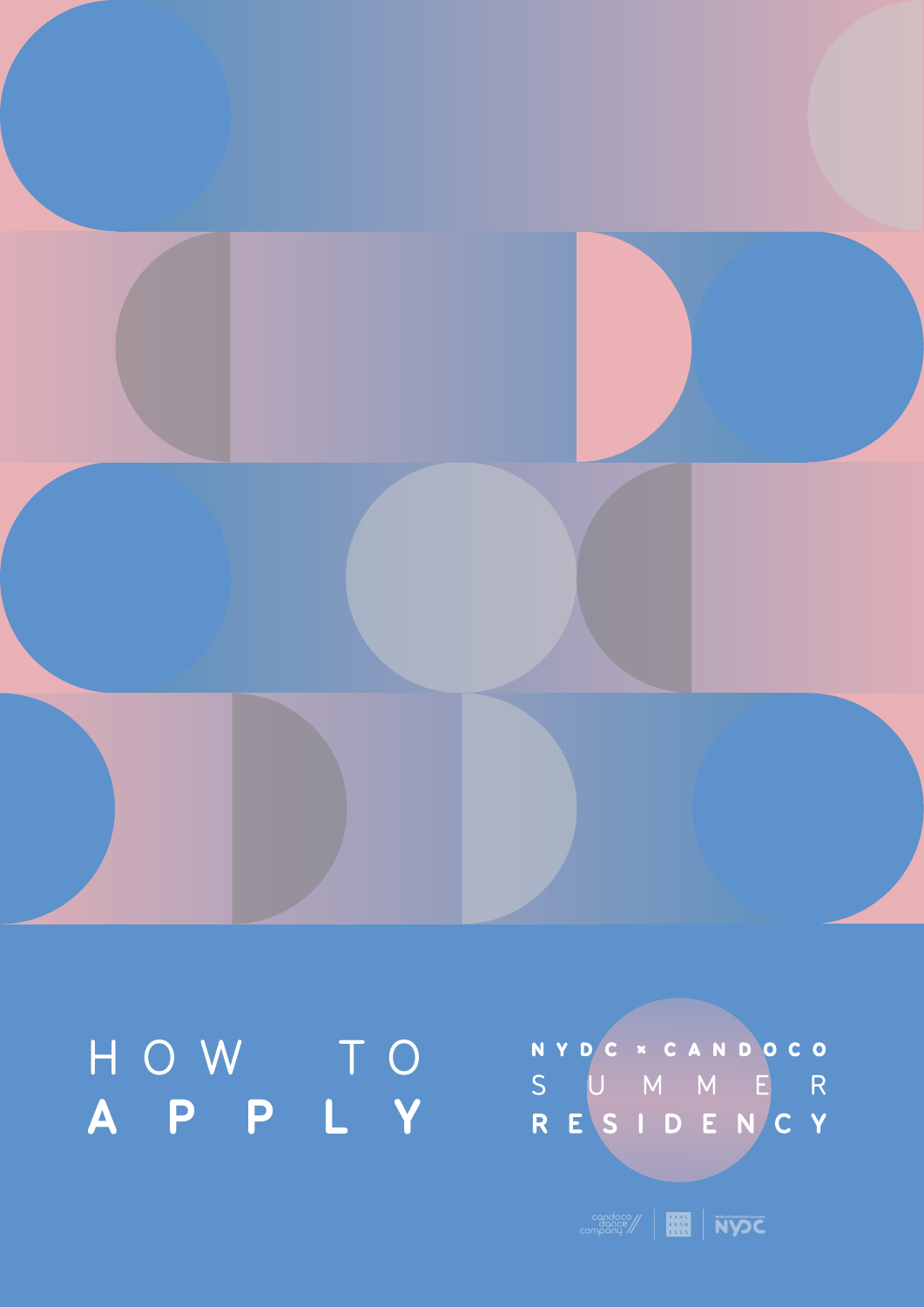company | **HH** | NYOC

# HOW TO **APPLY**

NYDC \* CANDOCO<br>S U M M E R<br>R E S I D E N C Y

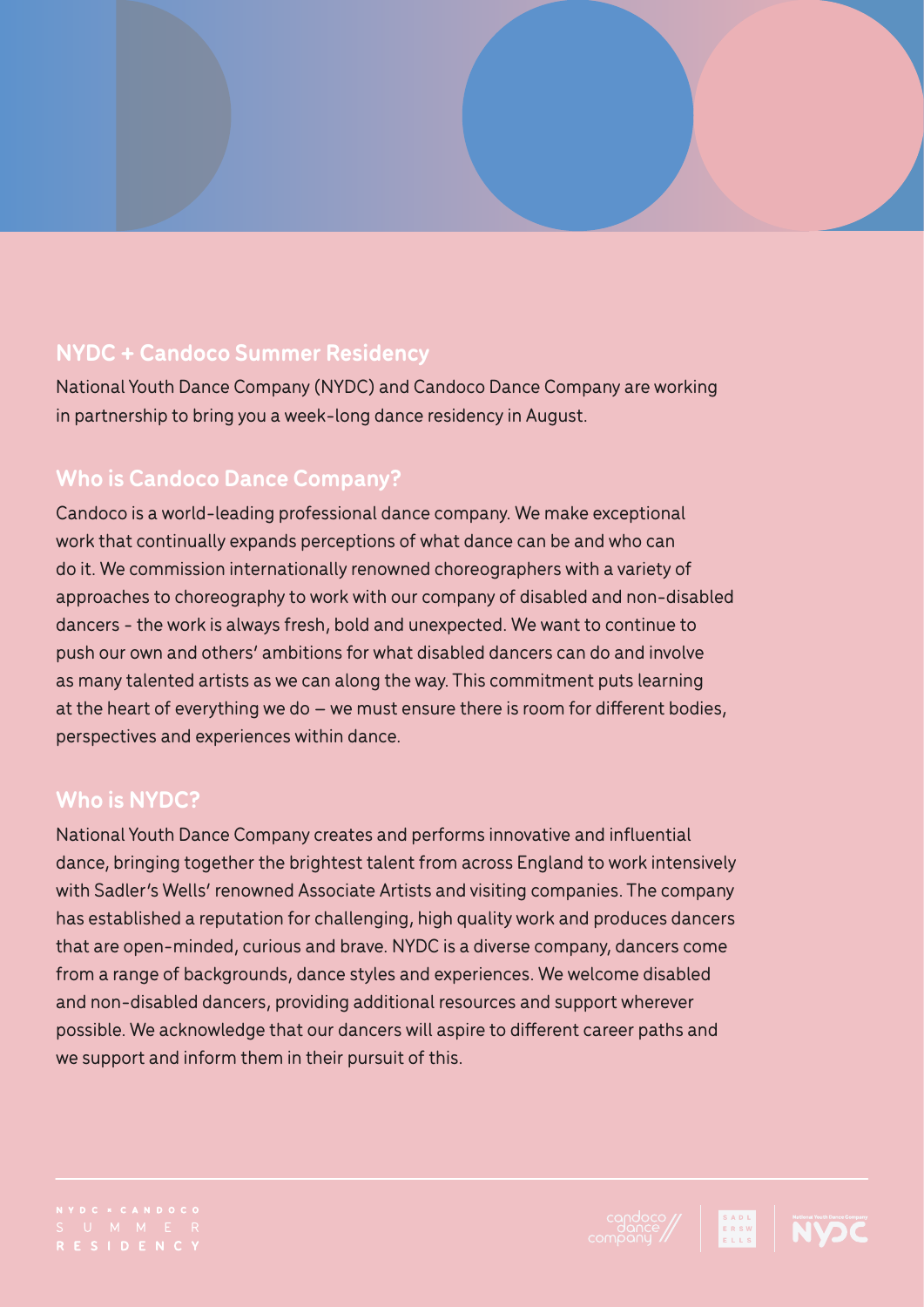# **NYDC + Candoco Summer Residency**

National Youth Dance Company (NYDC) and Candoco Dance Company are working in partnership to bring you a week-long dance residency in August.

# **Who is Candoco Dance Company?**

Candoco is a world-leading professional dance company. We make exceptional work that continually expands perceptions of what dance can be and who can do it. We commission internationally renowned choreographers with a variety of approaches to choreography to work with our company of disabled and non-disabled dancers - the work is always fresh, bold and unexpected. We want to continue to push our own and others' ambitions for what disabled dancers can do and involve as many talented artists as we can along the way. This commitment puts learning at the heart of everything we do – we must ensure there is room for different bodies, perspectives and experiences within dance.

#### **Who is NYDC?**

National Youth Dance Company creates and performs innovative and influential dance, bringing together the brightest talent from across England to work intensively with Sadler's Wells' renowned Associate Artists and visiting companies. The company has established a reputation for challenging, high quality work and produces dancers that are open-minded, curious and brave. NYDC is a diverse company, dancers come from a range of backgrounds, dance styles and experiences. We welcome disabled and non-disabled dancers, providing additional resources and support wherever possible. We acknowledge that our dancers will aspire to different career paths and we support and inform them in their pursuit of this.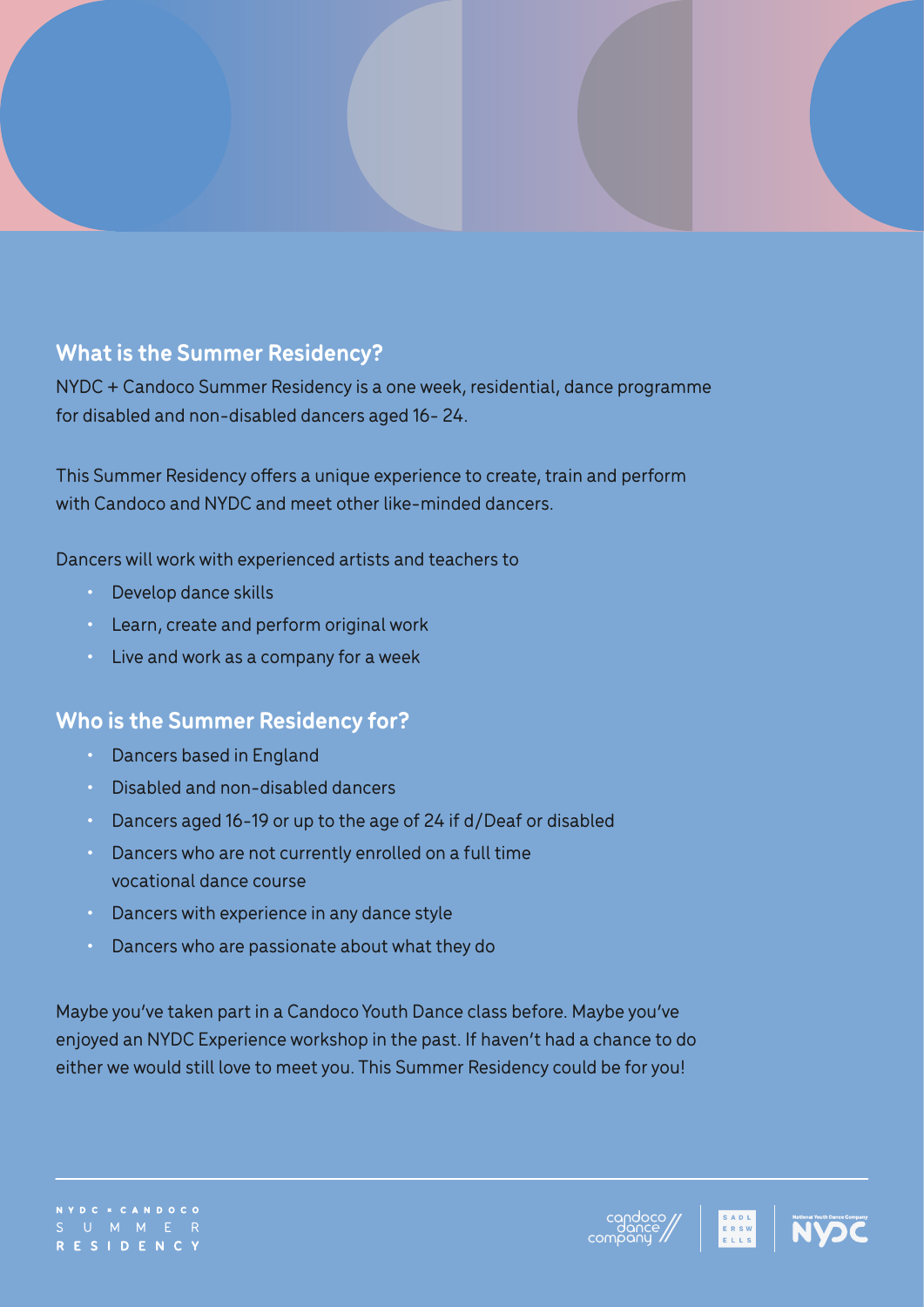# **What is the Summer Residency?**

NYDC + Candoco Summer Residency is a one week, residential, dance programme for disabled and non-disabled dancers aged 16- 24.

This Summer Residency offers a unique experience to create, train and perform with Candoco and NYDC and meet other like-minded dancers.

Dancers will work with experienced artists and teachers to

- Develop dance skills
- Learn, create and perform original work
- Live and work as a company for a week

#### **Who is the Summer Residency for?**

- Dancers based in England
- Disabled and non-disabled dancers
- Dancers aged 16-19 or up to the age of 24 if d/Deaf or disabled
- Dancers who are not currently enrolled on a full time vocational dance course
- Dancers with experience in any dance style
- Dancers who are passionate about what they do

Maybe you've taken part in a Candoco Youth Dance class before. Maybe you've enjoyed an NYDC Experience workshop in the past. If haven't had a chance to do either we would still love to meet you. This Summer Residency could be for you!

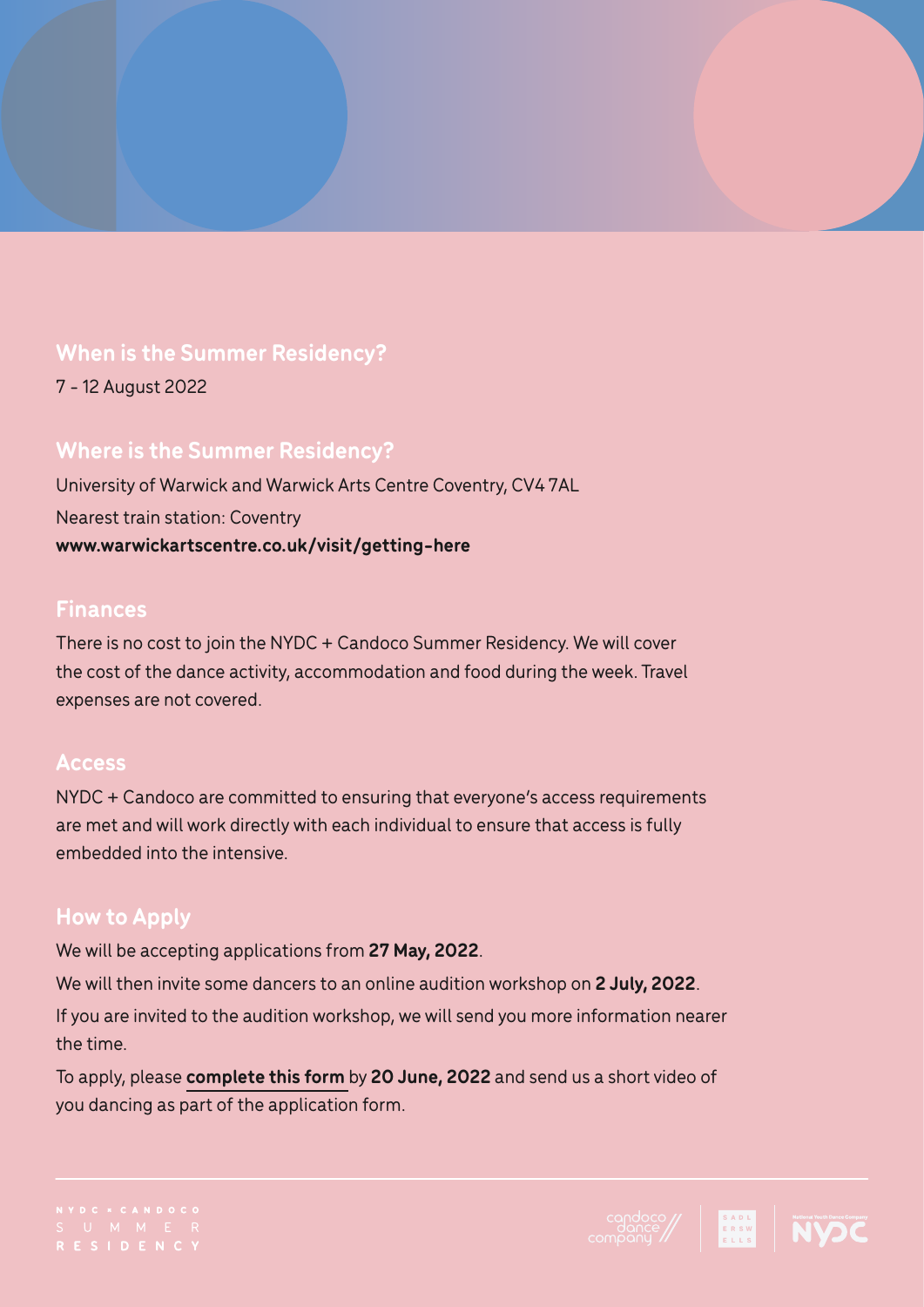#### **When is the Summer Residency?**

7 - 12 August 2022

# **Where is the Summer Residency?**

University of Warwick and Warwick Arts Centre Coventry, CV4 7AL Nearest train station: Coventry **www.warwickartscentre.co.uk/visit/getting-here**

#### **Finances**

There is no cost to join the NYDC + Candoco Summer Residency. We will cover the cost of the dance activity, accommodation and food during the week. Travel expenses are not covered.

#### **Access**

NYDC + Candoco are committed to ensuring that everyone's access requirements are met and will work directly with each individual to ensure that access is fully embedded into the intensive.

# **How to Apply**

We will be accepting applications from **27 May, 2022**.

We will then invite some dancers to an online audition workshop on **2 July, 2022**.

If you are invited to the audition workshop, we will send you more information nearer the time.

To apply, please **[complete this form](https://forms.office.com/pages/responsepage.aspx?id=dQkoo-onoU-L2Bgw05-UJg-Q2Jj0q0lIroxs4yysQYBUODhJQzM5UEpJUVVGTzNDNTdHTENRUEJTMyQlQCN0PWcu)** by **20 June, 2022** and send us a short video of you dancing as part of the application form.

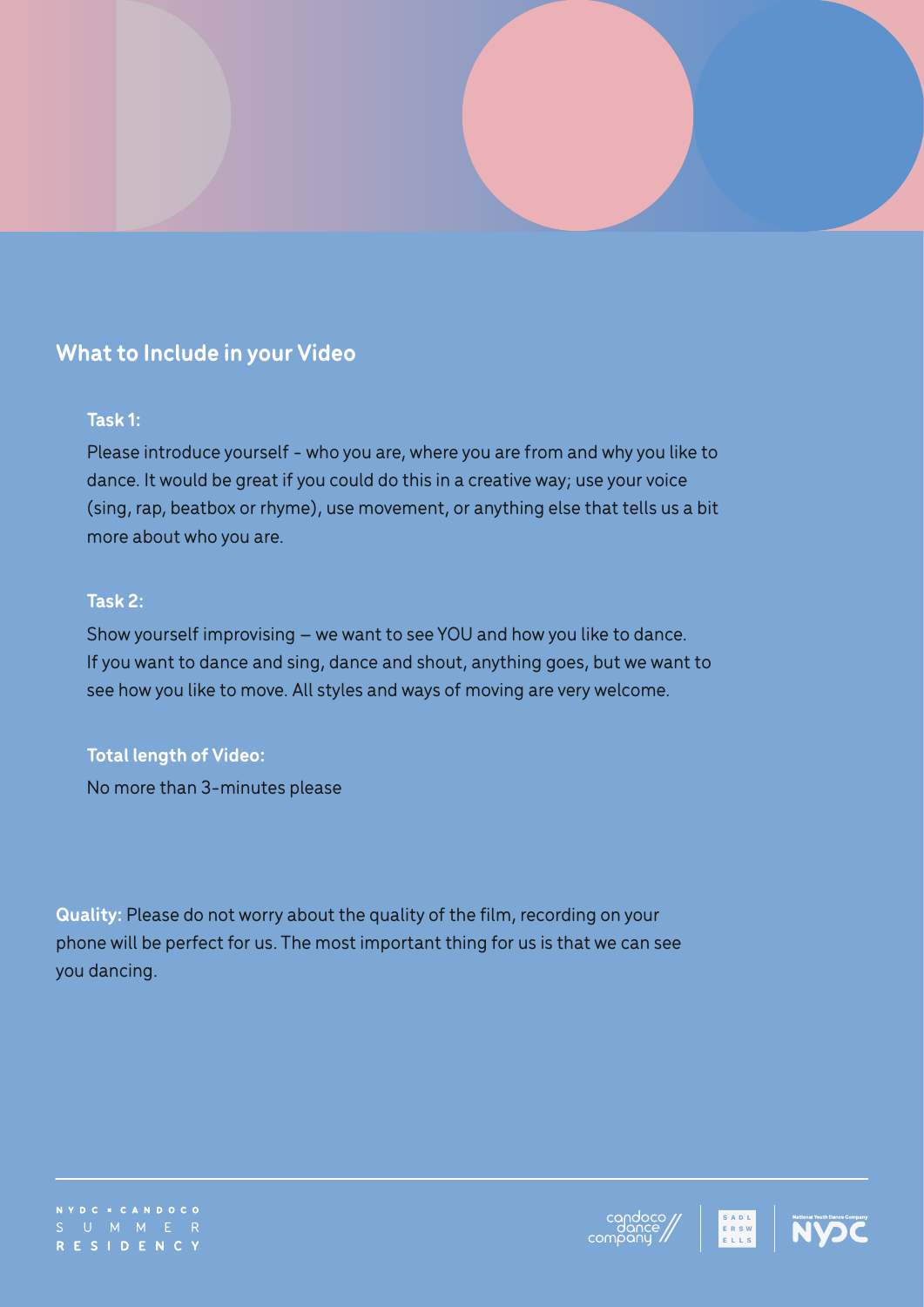# **What to Include in your Video**

#### **Task 1:**

Please introduce yourself - who you are, where you are from and why you like to dance. It would be great if you could do this in a creative way; use your voice (sing, rap, beatbox or rhyme), use movement, or anything else that tells us a bit more about who you are.

#### **Task 2:**

Show yourself improvising – we want to see YOU and how you like to dance. If you want to dance and sing, dance and shout, anything goes, but we want to see how you like to move. All styles and ways of moving are very welcome.

#### **Total length of Video:**

No more than 3-minutes please

**Quality:** Please do not worry about the quality of the film, recording on your phone will be perfect for us. The most important thing for us is that we can see you dancing.

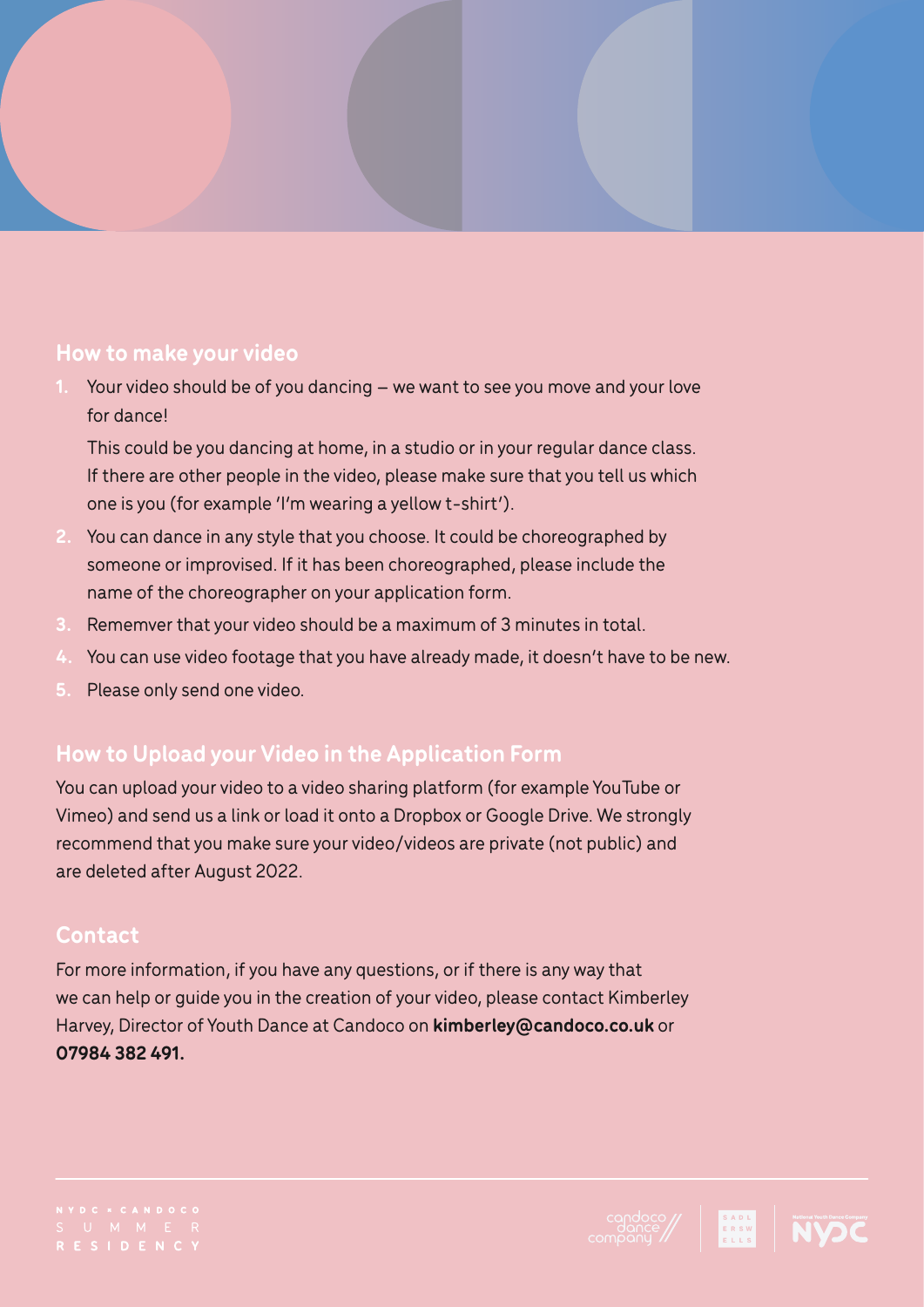#### **How to make your video**

**1.** Your video should be of you dancing – we want to see you move and your love for dance!

This could be you dancing at home, in a studio or in your regular dance class. If there are other people in the video, please make sure that you tell us which one is you (for example 'I'm wearing a yellow t-shirt').

- **2.** You can dance in any style that you choose. It could be choreographed by someone or improvised. If it has been choreographed, please include the name of the choreographer on your application form.
- **3.** Rememver that your video should be a maximum of 3 minutes in total.
- **4.** You can use video footage that you have already made, it doesn't have to be new.
- **5.** Please only send one video.

# **How to Upload your Video in the Application Form**

You can upload your video to a video sharing platform (for example YouTube or Vimeo) and send us a link or load it onto a Dropbox or Google Drive. We strongly recommend that you make sure your video/videos are private (not public) and are deleted after August 2022.

#### **Contact**

For more information, if you have any questions, or if there is any way that we can help or guide you in the creation of your video, please contact Kimberley Harvey, Director of Youth Dance at Candoco on **[kimberley@candoco.co.uk](mailto:kimberley%40candoco.co.uk?subject=)** or **07984 382 491.**